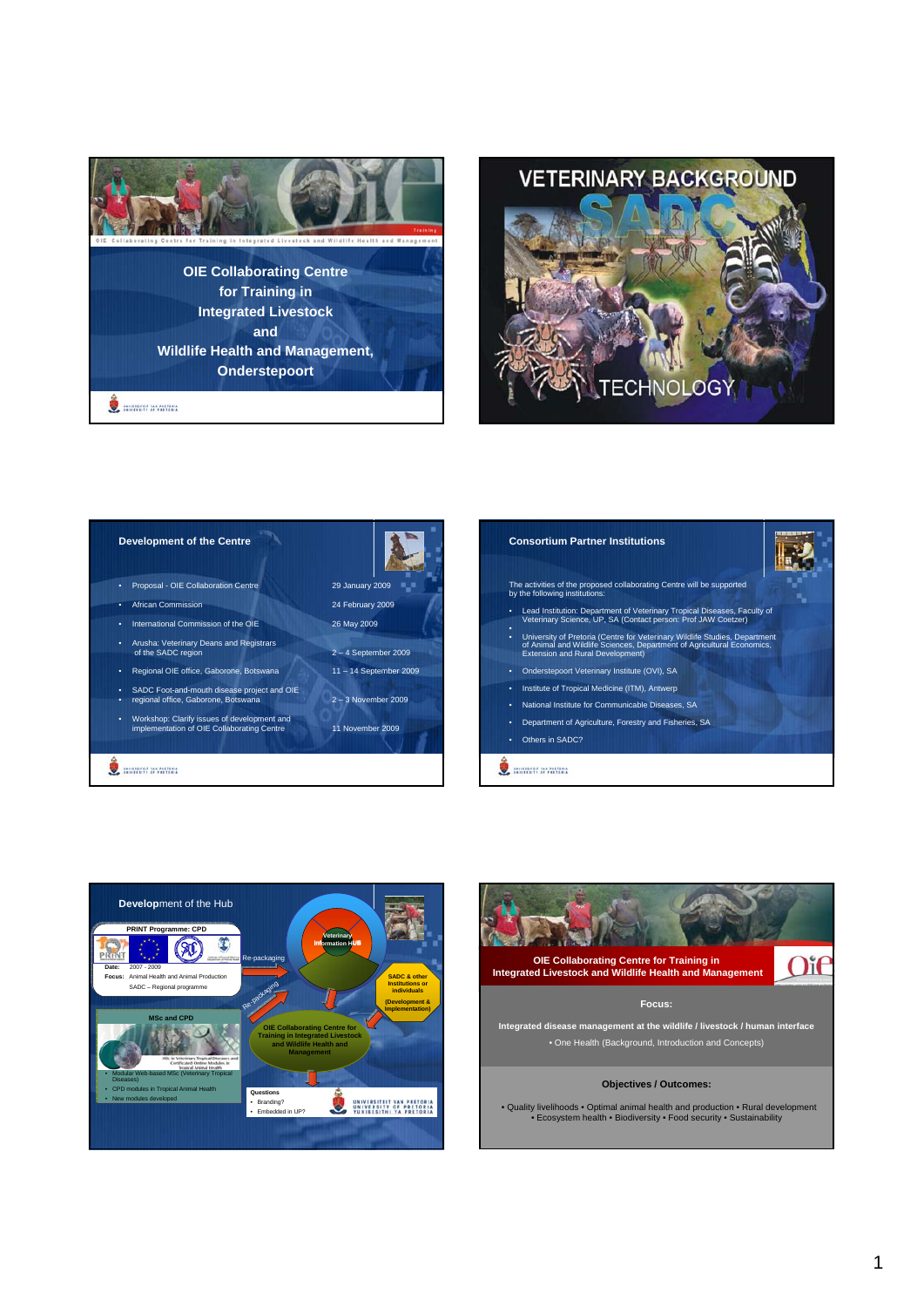



## **Development of the Centre Consortium Partner Institutions** • Proposal - OIE Collaboration Centre 29 January 2009 • African Commission 24 February 2009 • International Commission of the OIE 26 May 2009 • • Arusha: Veterinary Deans and Registrars of the SADC region 2 – 4 September 2009 • Regional OIE office, Gaborone, Botswana 11 – 14 September 2009 • SADC Foot-and-mouth disease project and OIE • regional office, Gaborone, Botswana 2 – 3 November 2009 • Workshop: Clarify issues of development and implementation of OIE Collaborating Centre 11 November 2009 **O** model walling

## The activities of the proposed collaborating Centre will be supported by the following institutions: • Lead Institution: Department of Veterinary Tropical Diseases, Faculty of Veterinary Science, UP, SA (Contact person: Prof JAW Coetzer) • University of Pretoria (Centre for Veterinary Wildlife Studies, Department of Animal and Wildlife Sciences, Department of Agricultural Economics, Extension and Rural Development) • Onderstepoort Veterinary Institute (OVI), SA • Institute of Tropical Medicine (ITM), Antwerp • National Institute for Communicable Diseases, SA • Department of Agriculture, Forestry and Fisheries, SA • Others in SADC? **O** monoy availant



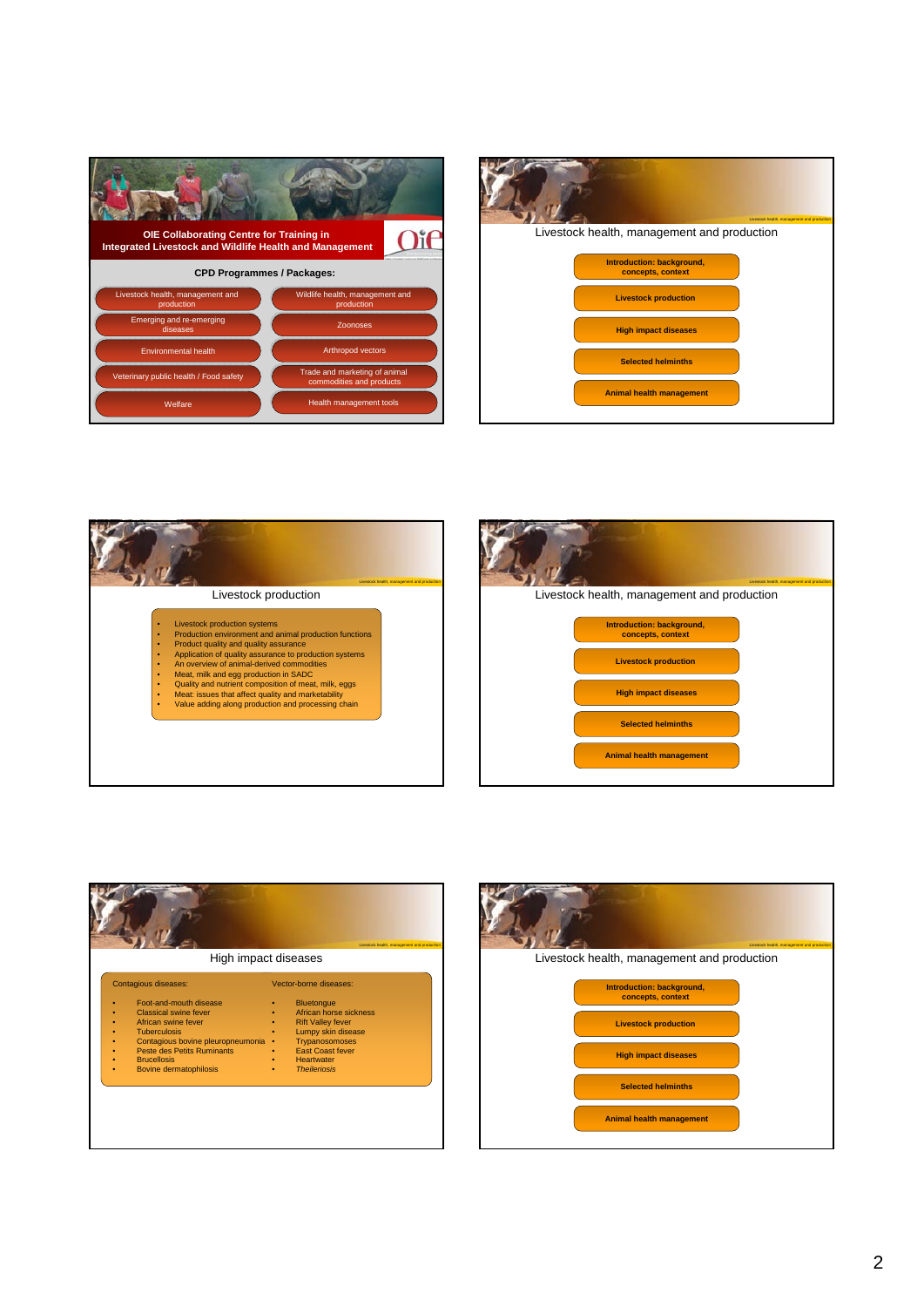| <b>OIE Collaborating Centre for Training in</b><br><b>Integrated Livestock and Wildlife Health and Management</b> |                                                           |  |
|-------------------------------------------------------------------------------------------------------------------|-----------------------------------------------------------|--|
| <b>CPD Programmes / Packages:</b>                                                                                 |                                                           |  |
| Livestock health, management and<br>production                                                                    | Wildlife health, management and<br>production             |  |
| Emerging and re-emerging<br>diseases                                                                              | Zoonoses                                                  |  |
| <b>Environmental health</b>                                                                                       | Arthropod vectors                                         |  |
| Veterinary public health / Food safety                                                                            | Trade and marketing of animal<br>commodities and products |  |
| Welfare                                                                                                           | Health management tools                                   |  |







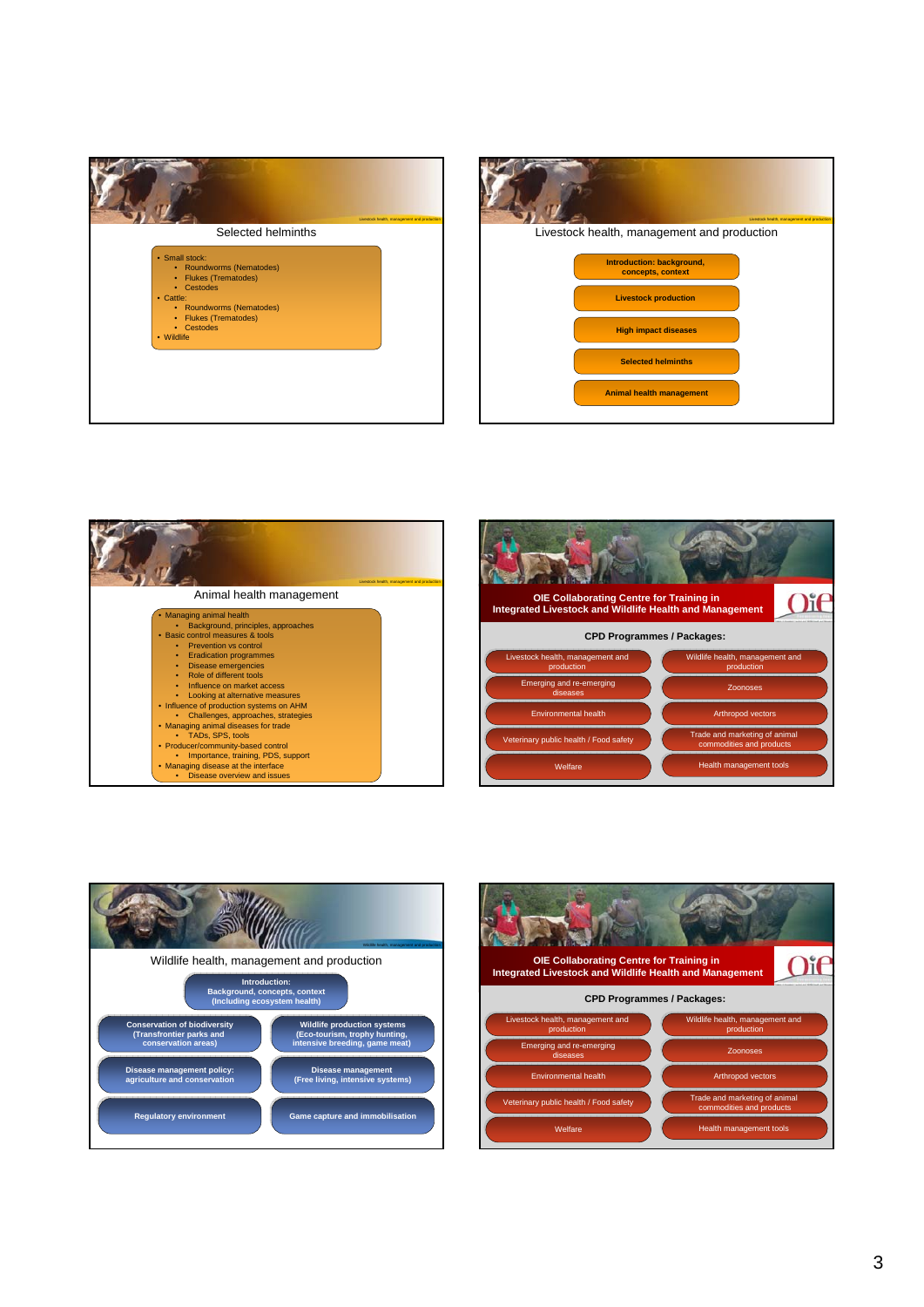







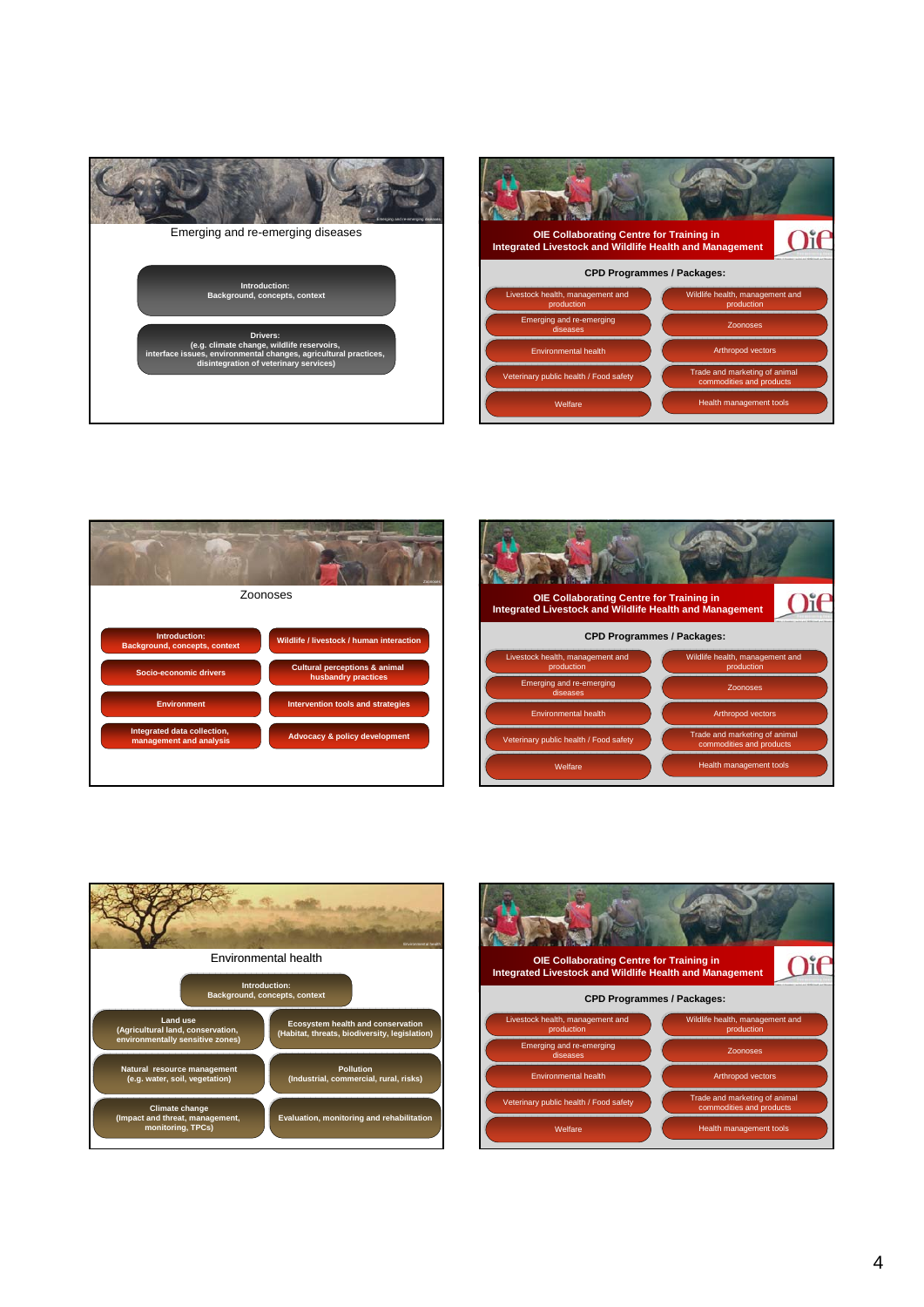

| <b>OIE Collaborating Centre for Training in</b><br><b>Integrated Livestock and Wildlife Health and Management</b> |                                                           |  |
|-------------------------------------------------------------------------------------------------------------------|-----------------------------------------------------------|--|
| <b>CPD Programmes / Packages:</b>                                                                                 |                                                           |  |
| Livestock health, management and<br>production                                                                    | Wildlife health, management and<br>production             |  |
| Emerging and re-emerging<br>diseases                                                                              | Zoonoses                                                  |  |
| <b>Environmental health</b>                                                                                       | Arthropod vectors                                         |  |
| Veterinary public health / Food safety                                                                            | Trade and marketing of animal<br>commodities and products |  |
| Welfare                                                                                                           | <b>Health management tools</b>                            |  |







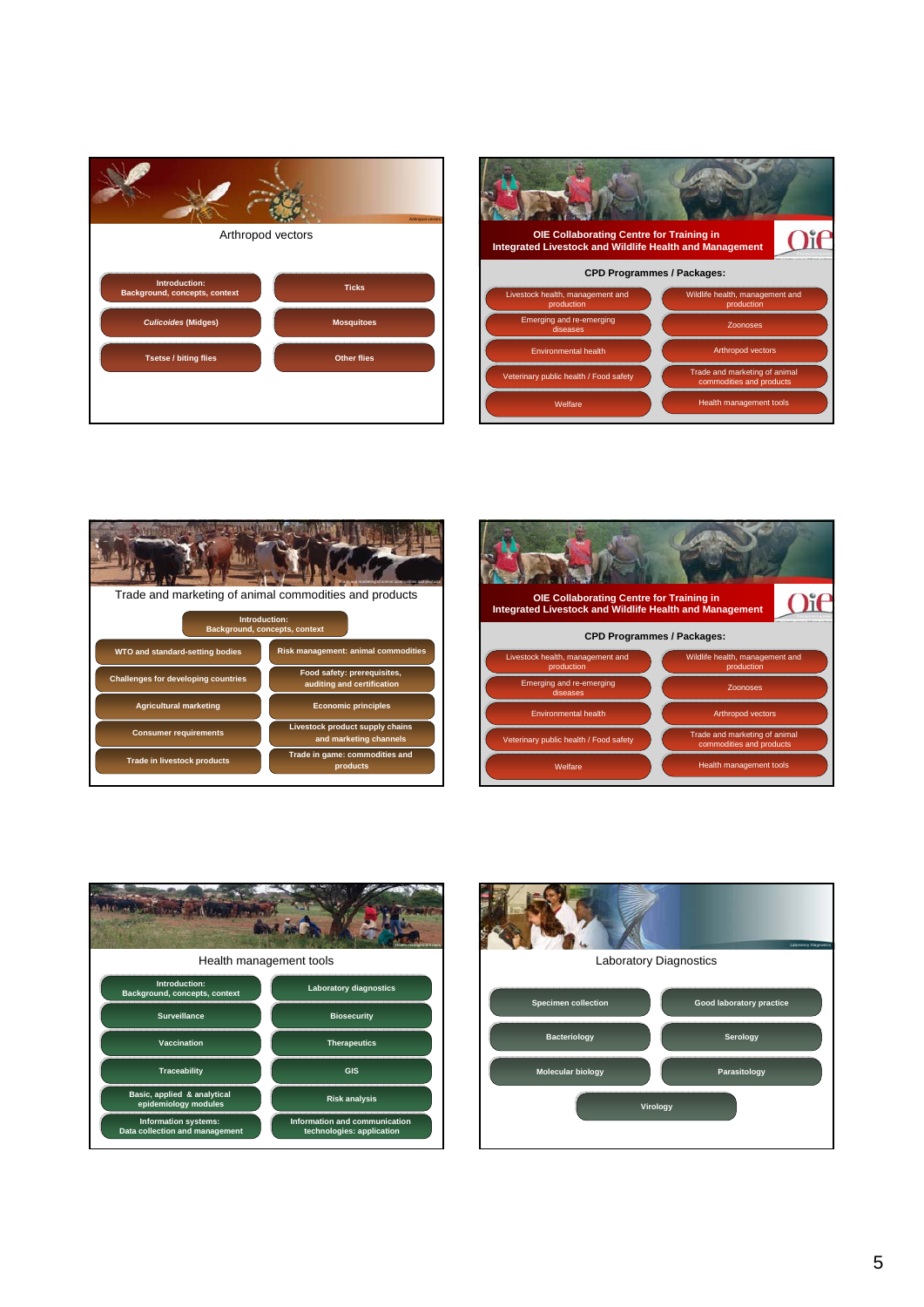

| <b>OIE Collaborating Centre for Training in</b><br><b>Integrated Livestock and Wildlife Health and Management</b> |                                                           |  |
|-------------------------------------------------------------------------------------------------------------------|-----------------------------------------------------------|--|
| <b>CPD Programmes / Packages:</b>                                                                                 |                                                           |  |
| Livestock health, management and<br>production                                                                    | Wildlife health, management and<br>production             |  |
| Emerging and re-emerging<br>diseases                                                                              | Zoonoses                                                  |  |
| <b>Environmental health</b>                                                                                       | Arthropod vectors                                         |  |
| Veterinary public health / Food safety                                                                            | Trade and marketing of animal<br>commodities and products |  |
| Welfare                                                                                                           | <b>Health management tools</b>                            |  |